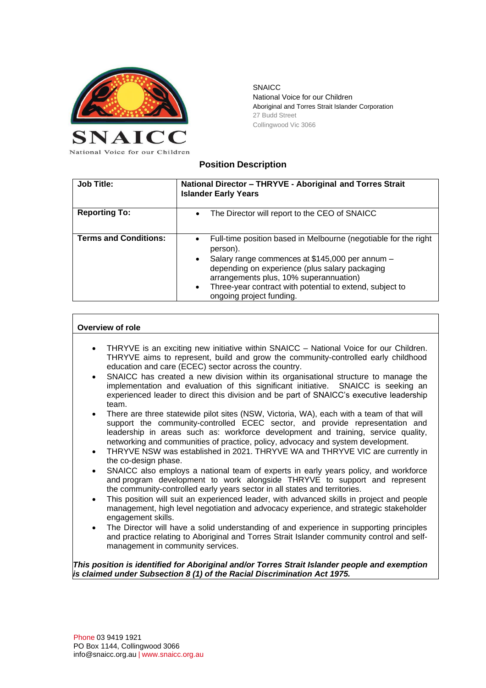

**SNAICC** National Voice for our Children Aboriginal and Torres Strait Islander Corporation 27 Budd Street Collingwood Vic 3066

## **Position Description**

| <b>Job Title:</b>            | National Director - THRYVE - Aboriginal and Torres Strait<br><b>Islander Early Years</b>                                                                                                                                                                                                                                                                  |
|------------------------------|-----------------------------------------------------------------------------------------------------------------------------------------------------------------------------------------------------------------------------------------------------------------------------------------------------------------------------------------------------------|
| <b>Reporting To:</b>         | The Director will report to the CEO of SNAICC<br>$\bullet$                                                                                                                                                                                                                                                                                                |
| <b>Terms and Conditions:</b> | Full-time position based in Melbourne (negotiable for the right<br>$\bullet$<br>person).<br>Salary range commences at \$145,000 per annum -<br>$\bullet$<br>depending on experience (plus salary packaging<br>arrangements plus, 10% superannuation)<br>Three-year contract with potential to extend, subject to<br>$\bullet$<br>ongoing project funding. |

## **Overview of role**

- THRYVE is an exciting new initiative within SNAICC National Voice for our Children. THRYVE aims to represent, build and grow the community-controlled early childhood education and care (ECEC) sector across the country.
- SNAICC has created a new division within its organisational structure to manage the implementation and evaluation of this significant initiative. SNAICC is seeking an experienced leader to direct this division and be part of SNAICC's executive leadership team.
- There are three statewide pilot sites (NSW, Victoria, WA), each with a team of that will support the community-controlled ECEC sector, and provide representation and leadership in areas such as: workforce development and training, service quality, networking and communities of practice, policy, advocacy and system development.
- THRYVE NSW was established in 2021. THRYVE WA and THRYVE VIC are currently in the co-design phase.
- SNAICC also employs a national team of experts in early years policy, and workforce and program development to work alongside THRYVE to support and represent the community-controlled early years sector in all states and territories.
- This position will suit an experienced leader, with advanced skills in project and people management, high level negotiation and advocacy experience, and strategic stakeholder engagement skills.
- The Director will have a solid understanding of and experience in supporting principles and practice relating to Aboriginal and Torres Strait Islander community control and selfmanagement in community services.

*This position is identified for Aboriginal and/or Torres Strait Islander people and exemption is claimed under Subsection 8 (1) of the Racial Discrimination Act 1975.*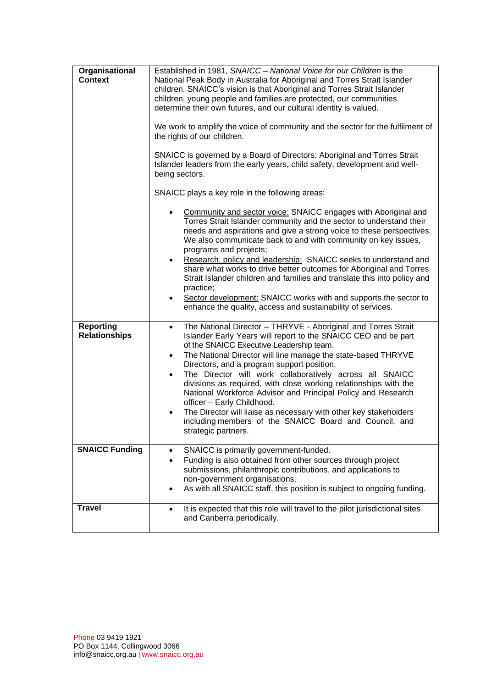| Organisational<br><b>Context</b>         | Established in 1981, SNAICC - National Voice for our Children is the<br>National Peak Body in Australia for Aboriginal and Torres Strait Islander<br>children. SNAICC's vision is that Aboriginal and Torres Strait Islander<br>children, young people and families are protected, our communities<br>determine their own futures, and our cultural identity is valued.<br>We work to amplify the voice of community and the sector for the fulfilment of<br>the rights of our children.<br>SNAICC is governed by a Board of Directors: Aboriginal and Torres Strait<br>Islander leaders from the early years, child safety, development and well-<br>being sectors.<br>SNAICC plays a key role in the following areas:<br>Community and sector voice: SNAICC engages with Aboriginal and<br>$\bullet$<br>Torres Strait Islander community and the sector to understand their<br>needs and aspirations and give a strong voice to these perspectives.<br>We also communicate back to and with community on key issues,<br>programs and projects;<br>Research, policy and leadership: SNAICC seeks to understand and<br>$\bullet$<br>share what works to drive better outcomes for Aboriginal and Torres<br>Strait Islander children and families and translate this into policy and<br>practice;<br>Sector development: SNAICC works with and supports the sector to<br>$\bullet$<br>enhance the quality, access and sustainability of services. |
|------------------------------------------|--------------------------------------------------------------------------------------------------------------------------------------------------------------------------------------------------------------------------------------------------------------------------------------------------------------------------------------------------------------------------------------------------------------------------------------------------------------------------------------------------------------------------------------------------------------------------------------------------------------------------------------------------------------------------------------------------------------------------------------------------------------------------------------------------------------------------------------------------------------------------------------------------------------------------------------------------------------------------------------------------------------------------------------------------------------------------------------------------------------------------------------------------------------------------------------------------------------------------------------------------------------------------------------------------------------------------------------------------------------------------------------------------------------------------------------------------|
| <b>Reporting</b><br><b>Relationships</b> | The National Director - THRYVE - Aboriginal and Torres Strait<br>$\bullet$<br>Islander Early Years will report to the SNAICC CEO and be part<br>of the SNAICC Executive Leadership team.<br>The National Director will line manage the state-based THRYVE<br>$\bullet$<br>Directors, and a program support position.<br>The Director will work collaboratively across all SNAICC<br>$\bullet$<br>divisions as required, with close working relationships with the<br>National Workforce Advisor and Principal Policy and Research<br>officer - Early Childhood.<br>The Director will liaise as necessary with other key stakeholders<br>including members of the SNAICC Board and Council, and<br>strategic partners.                                                                                                                                                                                                                                                                                                                                                                                                                                                                                                                                                                                                                                                                                                                            |
| <b>SNAICC Funding</b>                    | SNAICC is primarily government-funded.<br>$\bullet$                                                                                                                                                                                                                                                                                                                                                                                                                                                                                                                                                                                                                                                                                                                                                                                                                                                                                                                                                                                                                                                                                                                                                                                                                                                                                                                                                                                              |
|                                          | Funding is also obtained from other sources through project<br>$\bullet$<br>submissions, philanthropic contributions, and applications to<br>non-government organisations.<br>As with all SNAICC staff, this position is subject to ongoing funding.                                                                                                                                                                                                                                                                                                                                                                                                                                                                                                                                                                                                                                                                                                                                                                                                                                                                                                                                                                                                                                                                                                                                                                                             |
| <b>Travel</b>                            | It is expected that this role will travel to the pilot jurisdictional sites<br>$\bullet$<br>and Canberra periodically.                                                                                                                                                                                                                                                                                                                                                                                                                                                                                                                                                                                                                                                                                                                                                                                                                                                                                                                                                                                                                                                                                                                                                                                                                                                                                                                           |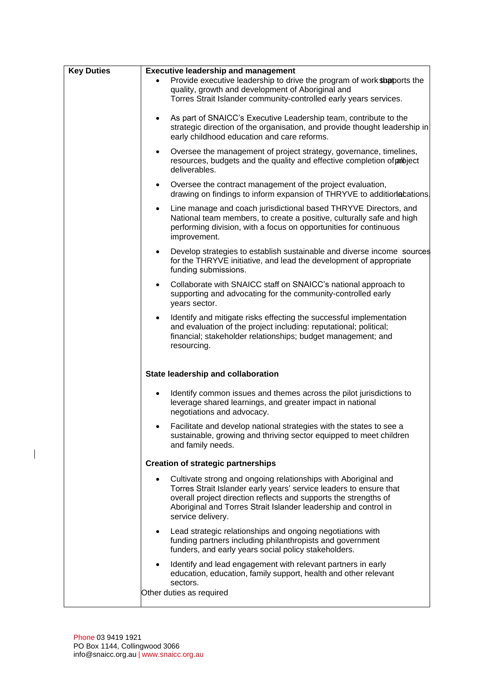| <b>Key Duties</b> | <b>Executive leadership and management</b>                                                                                                                                                                                                                                                       |
|-------------------|--------------------------------------------------------------------------------------------------------------------------------------------------------------------------------------------------------------------------------------------------------------------------------------------------|
|                   | Provide executive leadership to drive the program of work shapports the<br>quality, growth and development of Aboriginal and<br>Torres Strait Islander community-controlled early years services.                                                                                                |
|                   | As part of SNAICC's Executive Leadership team, contribute to the<br>strategic direction of the organisation, and provide thought leadership in<br>early childhood education and care reforms.                                                                                                    |
|                   | Oversee the management of project strategy, governance, timelines,<br>$\bullet$<br>resources, budgets and the quality and effective completion of particle resources,<br>deliverables.                                                                                                           |
|                   | Oversee the contract management of the project evaluation,<br>$\bullet$<br>drawing on findings to inform expansion of THRYVE to additionabations.                                                                                                                                                |
|                   | Line manage and coach jurisdictional based THRYVE Directors, and<br>$\bullet$<br>National team members, to create a positive, culturally safe and high<br>performing division, with a focus on opportunities for continuous<br>improvement.                                                      |
|                   | Develop strategies to establish sustainable and diverse income sources<br>$\bullet$<br>for the THRYVE initiative, and lead the development of appropriate<br>funding submissions.                                                                                                                |
|                   | Collaborate with SNAICC staff on SNAICC's national approach to<br>supporting and advocating for the community-controlled early<br>years sector.                                                                                                                                                  |
|                   | Identify and mitigate risks effecting the successful implementation<br>$\bullet$<br>and evaluation of the project including: reputational; political;<br>financial; stakeholder relationships; budget management; and<br>resourcing.                                                             |
|                   | State leadership and collaboration                                                                                                                                                                                                                                                               |
|                   | Identify common issues and themes across the pilot jurisdictions to<br>leverage shared learnings, and greater impact in national<br>negotiations and advocacy.                                                                                                                                   |
|                   | Facilitate and develop national strategies with the states to see a<br>$\bullet$<br>sustainable, growing and thriving sector equipped to meet children<br>and family needs.                                                                                                                      |
|                   | <b>Creation of strategic partnerships</b>                                                                                                                                                                                                                                                        |
|                   | Cultivate strong and ongoing relationships with Aboriginal and<br>Torres Strait Islander early years' service leaders to ensure that<br>overall project direction reflects and supports the strengths of<br>Aboriginal and Torres Strait Islander leadership and control in<br>service delivery. |
|                   | Lead strategic relationships and ongoing negotiations with<br>funding partners including philanthropists and government<br>funders, and early years social policy stakeholders.                                                                                                                  |
|                   | Identify and lead engagement with relevant partners in early<br>education, education, family support, health and other relevant<br>sectors.<br>Other duties as required                                                                                                                          |
|                   |                                                                                                                                                                                                                                                                                                  |

 $\overline{\phantom{a}}$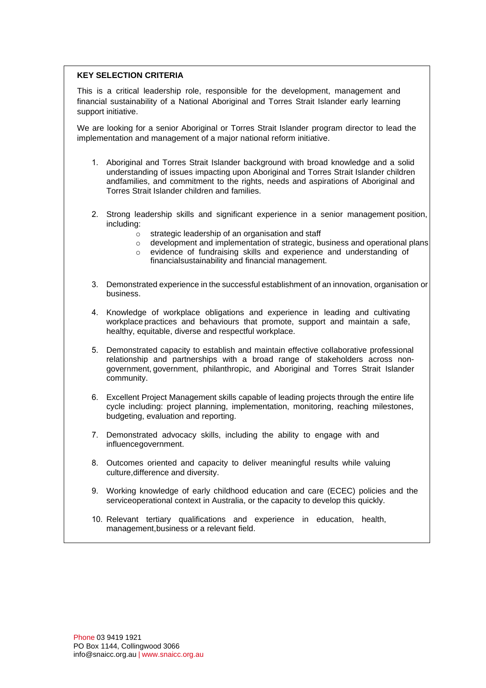## **KEY SELECTION CRITERIA**

This is a critical leadership role, responsible for the development, management and financial sustainability of a National Aboriginal and Torres Strait Islander early learning support initiative.

We are looking for a senior Aboriginal or Torres Strait Islander program director to lead the implementation and management of a major national reform initiative.

- 1. Aboriginal and Torres Strait Islander background with broad knowledge and a solid understanding of issues impacting upon Aboriginal and Torres Strait Islander children andfamilies, and commitment to the rights, needs and aspirations of Aboriginal and Torres Strait Islander children and families.
- 2. Strong leadership skills and significant experience in a senior management position, including:
	- o strategic leadership of an organisation and staff
	- $\circ$  development and implementation of strategic, business and operational plans
	- o evidence of fundraising skills and experience and understanding of
		- financial sustainability and financial management.
- 3. Demonstrated experience in the successful establishment of an innovation, organisation or business.
- 4. Knowledge of workplace obligations and experience in leading and cultivating workplace practices and behaviours that promote, support and maintain a safe, healthy, equitable, diverse and respectful workplace.
- 5. Demonstrated capacity to establish and maintain effective collaborative professional relationship and partnerships with a broad range of stakeholders across nongovernment, government, philanthropic, and Aboriginal and Torres Strait Islander community.
- 6. Excellent Project Management skills capable of leading projects through the entire life cycle including: project planning, implementation, monitoring, reaching milestones, budgeting, evaluation and reporting.
- 7. Demonstrated advocacy skills, including the ability to engage with and influence government.
- 8. Outcomes oriented and capacity to deliver meaningful results while valuing culture, difference and diversity.
- 9. Working knowledge of early childhood education and care (ECEC) policies and the service operational context in Australia, or the capacity to develop this quickly.
- 10. Relevant tertiary qualifications and experience in education, health, management, business or a relevant field.